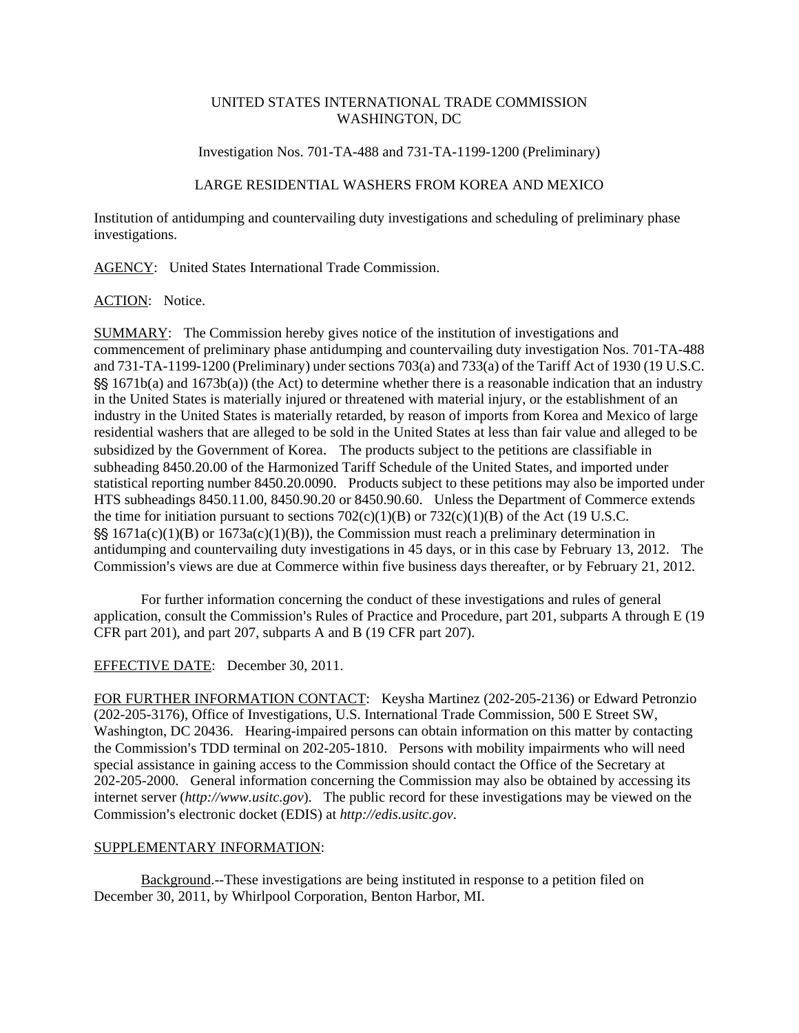#### UNITED STATES INTERNATIONAL TRADE COMMISSION WASHINGTON, DC

Investigation Nos. 701-TA-488 and 731-TA-1199-1200 (Preliminary)

# LARGE RESIDENTIAL WASHERS FROM KOREA AND MEXICO

Institution of antidumping and countervailing duty investigations and scheduling of preliminary phase investigations.

AGENCY: United States International Trade Commission.

### ACTION: Notice.

SUMMARY: The Commission hereby gives notice of the institution of investigations and commencement of preliminary phase antidumping and countervailing duty investigation Nos. 701-TA-488 and 731-TA-1199-1200 (Preliminary) under sections 703(a) and 733(a) of the Tariff Act of 1930 (19 U.S.C.  $\frac{55}{5}$  1671b(a) and 1673b(a)) (the Act) to determine whether there is a reasonable indication that an industry in the United States is materially injured or threatened with material injury, or the establishment of an industry in the United States is materially retarded, by reason of imports from Korea and Mexico of large residential washers that are alleged to be sold in the United States at less than fair value and alleged to be subsidized by the Government of Korea. The products subject to the petitions are classifiable in subheading 8450.20.00 of the Harmonized Tariff Schedule of the United States, and imported under statistical reporting number 8450.20.0090. Products subject to these petitions may also be imported under HTS subheadings 8450.11.00, 8450.90.20 or 8450.90.60. Unless the Department of Commerce extends the time for initiation pursuant to sections  $702(c)(1)(B)$  or  $732(c)(1)(B)$  of the Act (19 U.S.C.  $S\ S$  1671a(c)(1)(B) or 1673a(c)(1)(B)), the Commission must reach a preliminary determination in antidumping and countervailing duty investigations in 45 days, or in this case by February 13, 2012. The Commission's views are due at Commerce within five business days thereafter, or by February 21, 2012.

For further information concerning the conduct of these investigations and rules of general application, consult the Commission's Rules of Practice and Procedure, part  $201$ , subparts A through E (19) CFR part 201), and part 207, subparts A and B (19 CFR part 207).

# EFFECTIVE DATE: December 30, 2011.

FOR FURTHER INFORMATION CONTACT: Keysha Martinez (202-205-2136) or Edward Petronzio (202-205-3176), Office of Investigations, U.S. International Trade Commission, 500 E Street SW, Washington, DC 20436. Hearing-impaired persons can obtain information on this matter by contacting the Commission's TDD terminal on 202-205-1810. Persons with mobility impairments who will need special assistance in gaining access to the Commission should contact the Office of the Secretary at 202-205-2000. General information concerning the Commission may also be obtained by accessing its internet server (*http://www.usitc.gov*). The public record for these investigations may be viewed on the Commission's electronic docket (EDIS) at *http://edis.usitc.gov.* 

### SUPPLEMENTARY INFORMATION:

Background.--These investigations are being instituted in response to a petition filed on December 30, 2011, by Whirlpool Corporation, Benton Harbor, MI.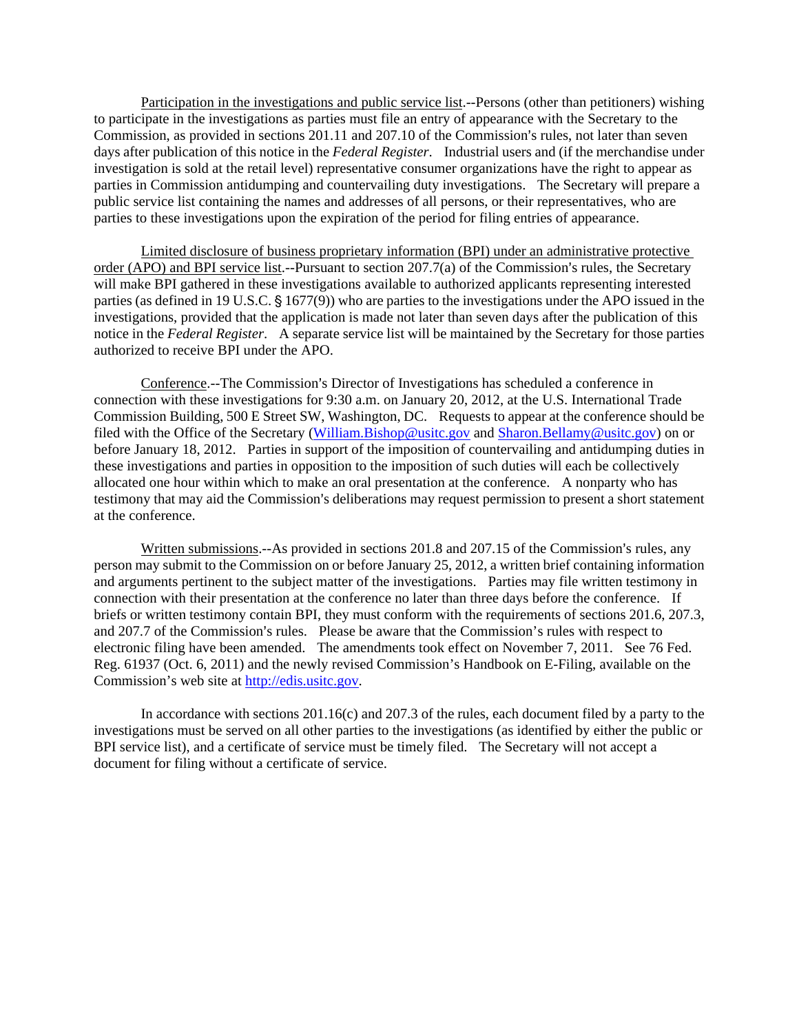Participation in the investigations and public service list.--Persons (other than petitioners) wishing to participate in the investigations as parties must file an entry of appearance with the Secretary to the Commission, as provided in sections 201.11 and 207.10 of the Commission's rules, not later than seven days after publication of this notice in the *Federal Register*. Industrial users and (if the merchandise under investigation is sold at the retail level) representative consumer organizations have the right to appear as parties in Commission antidumping and countervailing duty investigations. The Secretary will prepare a public service list containing the names and addresses of all persons, or their representatives, who are parties to these investigations upon the expiration of the period for filing entries of appearance.

Limited disclosure of business proprietary information (BPI) under an administrative protective order (APO) and BPI service list.--Pursuant to section  $207.7(a)$  of the Commission's rules, the Secretary will make BPI gathered in these investigations available to authorized applicants representing interested parties (as defined in 19 U.S.C. § 1677(9)) who are parties to the investigations under the APO issued in the investigations, provided that the application is made not later than seven days after the publication of this notice in the *Federal Register*. A separate service list will be maintained by the Secretary for those parties authorized to receive BPI under the APO.

Conference.--The Commission's Director of Investigations has scheduled a conference in connection with these investigations for 9:30 a.m. on January 20, 2012, at the U.S. International Trade Commission Building, 500 E Street SW, Washington, DC. Requests to appear at the conference should be filed with the Office of the Secretary (William.Bishop@usitc.gov and Sharon.Bellamy@usitc.gov) on or before January 18, 2012. Parties in support of the imposition of countervailing and antidumping duties in these investigations and parties in opposition to the imposition of such duties will each be collectively allocated one hour within which to make an oral presentation at the conference. A nonparty who has testimony that may aid the Commission's deliberations may request permission to present a short statement at the conference.

Written submissions. $-$ As provided in sections 201.8 and 207.15 of the Commission's rules, any person may submit to the Commission on or before January 25, 2012, a written brief containing information and arguments pertinent to the subject matter of the investigations. Parties may file written testimony in connection with their presentation at the conference no later than three days before the conference. If briefs or written testimony contain BPI, they must conform with the requirements of sections 201.6, 207.3, and 207.7 of the Commission's rules. Please be aware that the Commission's rules with respect to electronic filing have been amended. The amendments took effect on November 7, 2011. See 76 Fed. Reg. 61937 (Oct. 6, 2011) and the newly revised Commission's Handbook on E-Filing, available on the Commission's web site at http://edis.usitc.gov.

In accordance with sections 201.16(c) and 207.3 of the rules, each document filed by a party to the investigations must be served on all other parties to the investigations (as identified by either the public or BPI service list), and a certificate of service must be timely filed. The Secretary will not accept a document for filing without a certificate of service.